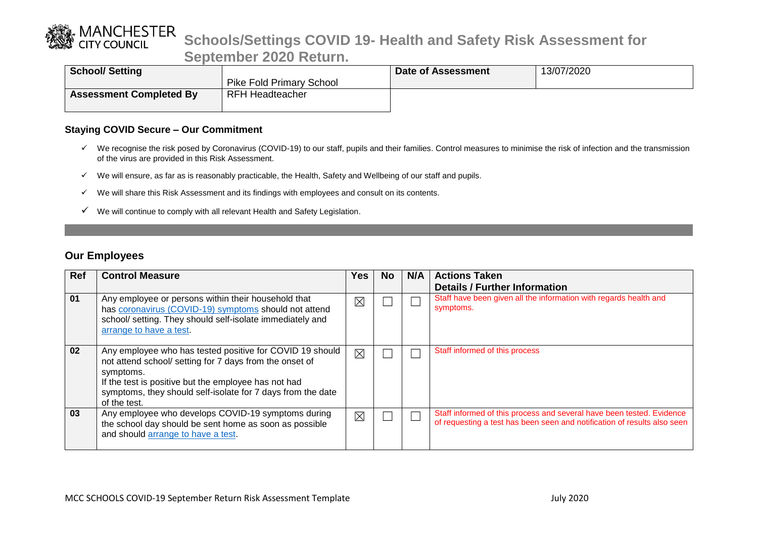

| <b>School/Setting</b>          |                                 | Date of Assessment | 13/07/2020 |
|--------------------------------|---------------------------------|--------------------|------------|
|                                | <b>Pike Fold Primary School</b> |                    |            |
| <b>Assessment Completed By</b> | <b>RFH Headteacher</b>          |                    |            |
|                                |                                 |                    |            |

#### **Staying COVID Secure – Our Commitment**

- $\checkmark$  We recognise the risk posed by Coronavirus (COVID-19) to our staff, pupils and their families. Control measures to minimise the risk of infection and the transmission of the virus are provided in this Risk Assessment.
- $\checkmark$  We will ensure, as far as is reasonably practicable, the Health, Safety and Wellbeing of our staff and pupils.
- $\checkmark$  We will share this Risk Assessment and its findings with employees and consult on its contents.
- $\checkmark$  We will continue to comply with all relevant Health and Safety Legislation.

#### **Our Employees**

| <b>Ref</b> | <b>Control Measure</b>                                      | Yes         | No. | N/A | <b>Actions Taken</b>                                                     |
|------------|-------------------------------------------------------------|-------------|-----|-----|--------------------------------------------------------------------------|
|            |                                                             |             |     |     | <b>Details / Further Information</b>                                     |
|            |                                                             |             |     |     |                                                                          |
| 01         | Any employee or persons within their household that         | $\times$    |     |     | Staff have been given all the information with regards health and        |
|            | has coronavirus (COVID-19) symptoms should not attend       |             |     |     | symptoms.                                                                |
|            | school/ setting. They should self-isolate immediately and   |             |     |     |                                                                          |
|            | arrange to have a test.                                     |             |     |     |                                                                          |
|            |                                                             |             |     |     |                                                                          |
|            |                                                             |             |     |     |                                                                          |
| 02         | Any employee who has tested positive for COVID 19 should    | $\boxtimes$ |     |     | Staff informed of this process                                           |
|            | not attend school/ setting for 7 days from the onset of     |             |     |     |                                                                          |
|            |                                                             |             |     |     |                                                                          |
|            | symptoms.                                                   |             |     |     |                                                                          |
|            | If the test is positive but the employee has not had        |             |     |     |                                                                          |
|            | symptoms, they should self-isolate for 7 days from the date |             |     |     |                                                                          |
|            | of the test.                                                |             |     |     |                                                                          |
| 03         | Any employee who develops COVID-19 symptoms during          |             |     |     | Staff informed of this process and several have been tested. Evidence    |
|            |                                                             | $\boxtimes$ |     |     | of requesting a test has been seen and notification of results also seen |
|            | the school day should be sent home as soon as possible      |             |     |     |                                                                          |
|            | and should arrange to have a test.                          |             |     |     |                                                                          |
|            |                                                             |             |     |     |                                                                          |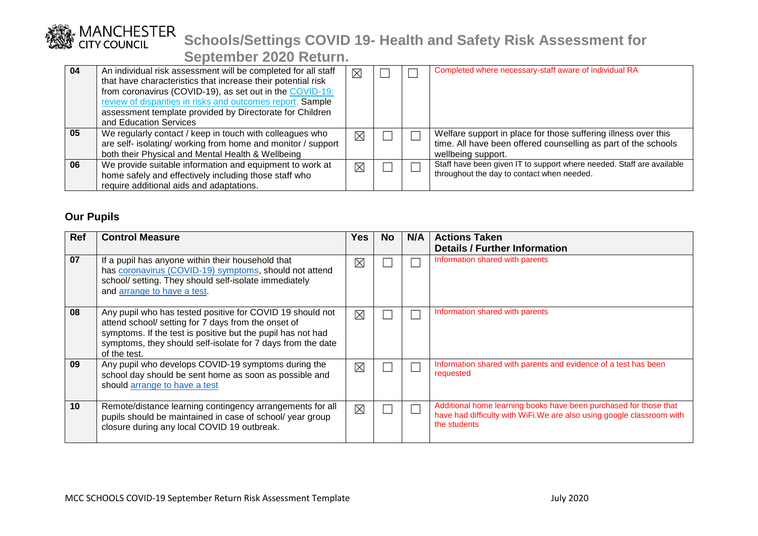| 04 | An individual risk assessment will be completed for all staff<br>that have characteristics that increase their potential risk<br>from coronavirus (COVID-19), as set out in the COVID-19:<br>review of disparities in risks and outcomes report. Sample<br>assessment template provided by Directorate for Children<br>and Education Services | $\times$    |  | Completed where necessary-staff aware of individual RA                                                                                                 |
|----|-----------------------------------------------------------------------------------------------------------------------------------------------------------------------------------------------------------------------------------------------------------------------------------------------------------------------------------------------|-------------|--|--------------------------------------------------------------------------------------------------------------------------------------------------------|
| 05 | We regularly contact / keep in touch with colleagues who<br>are self- isolating/ working from home and monitor / support<br>both their Physical and Mental Health & Wellbeing                                                                                                                                                                 | $\boxtimes$ |  | Welfare support in place for those suffering illness over this<br>time. All have been offered counselling as part of the schools<br>wellbeing support. |
| 06 | We provide suitable information and equipment to work at<br>home safely and effectively including those staff who<br>require additional aids and adaptations.                                                                                                                                                                                 | $\boxtimes$ |  | Staff have been given IT to support where needed. Staff are available<br>throughout the day to contact when needed.                                    |

### **Our Pupils**

| <b>Ref</b> | <b>Control Measure</b>                                                                                                                                                                                                                                         | <b>Yes</b>  | No. | N/A | <b>Actions Taken</b>                                                                                                                                        |
|------------|----------------------------------------------------------------------------------------------------------------------------------------------------------------------------------------------------------------------------------------------------------------|-------------|-----|-----|-------------------------------------------------------------------------------------------------------------------------------------------------------------|
|            |                                                                                                                                                                                                                                                                |             |     |     | <b>Details / Further Information</b>                                                                                                                        |
| 07         | If a pupil has anyone within their household that<br>has coronavirus (COVID-19) symptoms, should not attend<br>school/ setting. They should self-isolate immediately<br>and arrange to have a test.                                                            | $\boxtimes$ |     |     | Information shared with parents                                                                                                                             |
| 08         | Any pupil who has tested positive for COVID 19 should not<br>attend school/ setting for 7 days from the onset of<br>symptoms. If the test is positive but the pupil has not had<br>symptoms, they should self-isolate for 7 days from the date<br>of the test. | $\times$    |     |     | Information shared with parents                                                                                                                             |
| 09         | Any pupil who develops COVID-19 symptoms during the<br>school day should be sent home as soon as possible and<br>should arrange to have a test                                                                                                                 | $\boxtimes$ |     |     | Information shared with parents and evidence of a test has been<br>requested                                                                                |
| 10         | Remote/distance learning contingency arrangements for all<br>pupils should be maintained in case of school/ year group<br>closure during any local COVID 19 outbreak.                                                                                          | $\boxtimes$ |     |     | Additional home learning books have been purchased for those that<br>have had difficulty with WiFi. We are also using google classroom with<br>the students |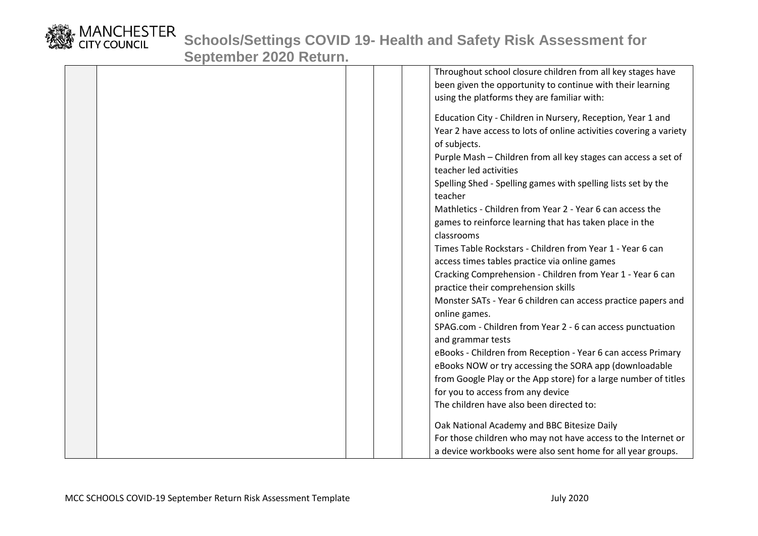

|  |  | Throughout school closure children from all key stages have        |
|--|--|--------------------------------------------------------------------|
|  |  | been given the opportunity to continue with their learning         |
|  |  | using the platforms they are familiar with:                        |
|  |  |                                                                    |
|  |  | Education City - Children in Nursery, Reception, Year 1 and        |
|  |  | Year 2 have access to lots of online activities covering a variety |
|  |  | of subjects.                                                       |
|  |  | Purple Mash - Children from all key stages can access a set of     |
|  |  | teacher led activities                                             |
|  |  | Spelling Shed - Spelling games with spelling lists set by the      |
|  |  | teacher                                                            |
|  |  | Mathletics - Children from Year 2 - Year 6 can access the          |
|  |  | games to reinforce learning that has taken place in the            |
|  |  | classrooms                                                         |
|  |  | Times Table Rockstars - Children from Year 1 - Year 6 can          |
|  |  | access times tables practice via online games                      |
|  |  | Cracking Comprehension - Children from Year 1 - Year 6 can         |
|  |  | practice their comprehension skills                                |
|  |  | Monster SATs - Year 6 children can access practice papers and      |
|  |  | online games.                                                      |
|  |  | SPAG.com - Children from Year 2 - 6 can access punctuation         |
|  |  | and grammar tests                                                  |
|  |  | eBooks - Children from Reception - Year 6 can access Primary       |
|  |  | eBooks NOW or try accessing the SORA app (downloadable             |
|  |  | from Google Play or the App store) for a large number of titles    |
|  |  | for you to access from any device                                  |
|  |  | The children have also been directed to:                           |
|  |  |                                                                    |
|  |  | Oak National Academy and BBC Bitesize Daily                        |
|  |  | For those children who may not have access to the Internet or      |
|  |  | a device workbooks were also sent home for all year groups.        |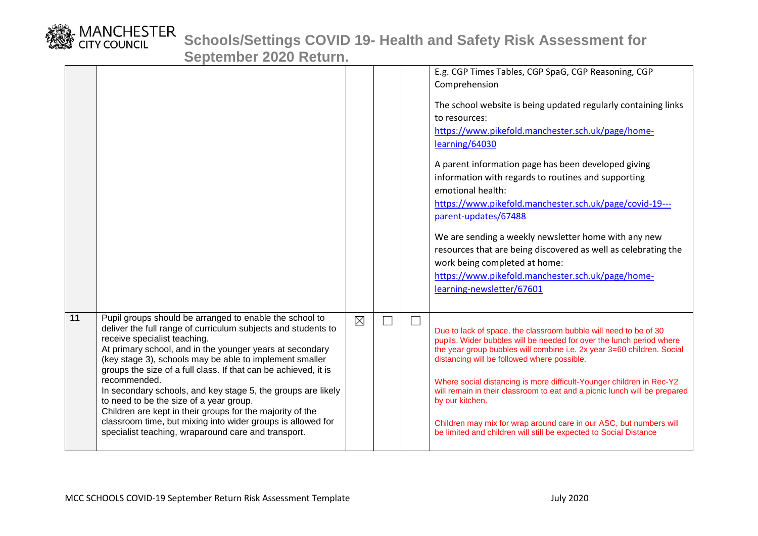

|    |                                                                                                                                                                                                                                                                                                                                                                                                                                                                                                                                                                                                                                                                  |             |  | E.g. CGP Times Tables, CGP SpaG, CGP Reasoning, CGP<br>Comprehension<br>The school website is being updated regularly containing links<br>to resources:<br>https://www.pikefold.manchester.sch.uk/page/home-<br>learning/64030<br>A parent information page has been developed giving<br>information with regards to routines and supporting<br>emotional health:<br>https://www.pikefold.manchester.sch.uk/page/covid-19---<br>parent-updates/67488<br>We are sending a weekly newsletter home with any new<br>resources that are being discovered as well as celebrating the<br>work being completed at home:<br>https://www.pikefold.manchester.sch.uk/page/home-<br>learning-newsletter/67601 |
|----|------------------------------------------------------------------------------------------------------------------------------------------------------------------------------------------------------------------------------------------------------------------------------------------------------------------------------------------------------------------------------------------------------------------------------------------------------------------------------------------------------------------------------------------------------------------------------------------------------------------------------------------------------------------|-------------|--|---------------------------------------------------------------------------------------------------------------------------------------------------------------------------------------------------------------------------------------------------------------------------------------------------------------------------------------------------------------------------------------------------------------------------------------------------------------------------------------------------------------------------------------------------------------------------------------------------------------------------------------------------------------------------------------------------|
| 11 | Pupil groups should be arranged to enable the school to<br>deliver the full range of curriculum subjects and students to<br>receive specialist teaching.<br>At primary school, and in the younger years at secondary<br>(key stage 3), schools may be able to implement smaller<br>groups the size of a full class. If that can be achieved, it is<br>recommended.<br>In secondary schools, and key stage 5, the groups are likely<br>to need to be the size of a year group.<br>Children are kept in their groups for the majority of the<br>classroom time, but mixing into wider groups is allowed for<br>specialist teaching, wraparound care and transport. | $\boxtimes$ |  | Due to lack of space, the classroom bubble will need to be of 30<br>pupils. Wider bubbles will be needed for over the lunch period where<br>the year group bubbles will combine i.e. 2x year 3=60 children. Social<br>distancing will be followed where possible.<br>Where social distancing is more difficult-Younger children in Rec-Y2<br>will remain in their classroom to eat and a picnic lunch will be prepared<br>by our kitchen.<br>Children may mix for wrap around care in our ASC, but numbers will<br>be limited and children will still be expected to Social Distance                                                                                                              |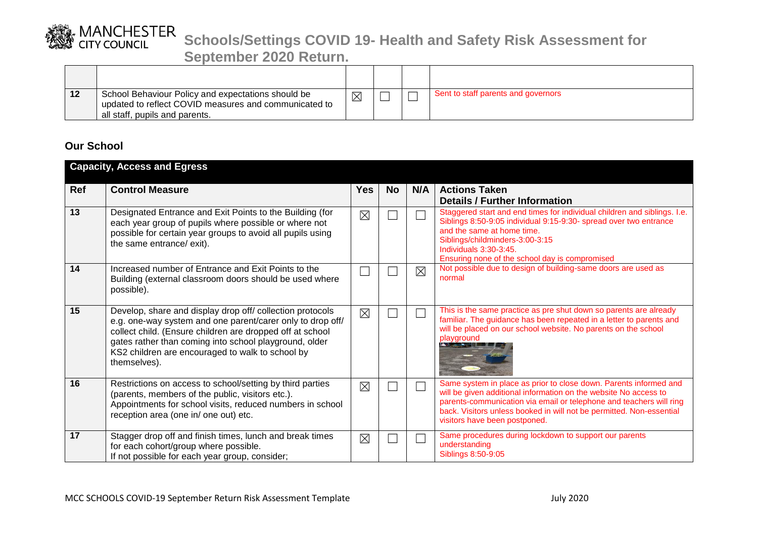

**September 2020 Return.**

| 12 | School Behaviour Policy and expectations should be<br>updated to reflect COVID measures and communicated to<br>all staff, pupils and parents. |  | Sent to staff parents and governors |
|----|-----------------------------------------------------------------------------------------------------------------------------------------------|--|-------------------------------------|

### **Our School**

|     | <b>Capacity, Access and Egress</b>                                                                                                                                                                                                                                                                                 |             |           |             |                                                                                                                                                                                                                                                                                                                       |
|-----|--------------------------------------------------------------------------------------------------------------------------------------------------------------------------------------------------------------------------------------------------------------------------------------------------------------------|-------------|-----------|-------------|-----------------------------------------------------------------------------------------------------------------------------------------------------------------------------------------------------------------------------------------------------------------------------------------------------------------------|
| Ref | <b>Control Measure</b>                                                                                                                                                                                                                                                                                             | <b>Yes</b>  | <b>No</b> | N/A         | <b>Actions Taken</b><br><b>Details / Further Information</b>                                                                                                                                                                                                                                                          |
| 13  | Designated Entrance and Exit Points to the Building (for<br>each year group of pupils where possible or where not<br>possible for certain year groups to avoid all pupils using<br>the same entrance/ exit).                                                                                                       | $\boxtimes$ |           |             | Staggered start and end times for individual children and siblings. I.e.<br>Siblings 8:50-9:05 individual 9:15-9:30- spread over two entrance<br>and the same at home time.<br>Siblings/childminders-3:00-3:15<br>Individuals 3:30-3:45.<br>Ensuring none of the school day is compromised                            |
| 14  | Increased number of Entrance and Exit Points to the<br>Building (external classroom doors should be used where<br>possible).                                                                                                                                                                                       |             |           | $\boxtimes$ | Not possible due to design of building-same doors are used as<br>normal                                                                                                                                                                                                                                               |
| 15  | Develop, share and display drop off/ collection protocols<br>e.g. one-way system and one parent/carer only to drop off/<br>collect child. (Ensure children are dropped off at school<br>gates rather than coming into school playground, older<br>KS2 children are encouraged to walk to school by<br>themselves). | $\times$    |           |             | This is the same practice as pre shut down so parents are already<br>familiar. The guidance has been repeated in a letter to parents and<br>will be placed on our school website. No parents on the school<br>playground                                                                                              |
| 16  | Restrictions on access to school/setting by third parties<br>(parents, members of the public, visitors etc.).<br>Appointments for school visits, reduced numbers in school<br>reception area (one in/ one out) etc.                                                                                                | $\times$    |           |             | Same system in place as prior to close down. Parents informed and<br>will be given additional information on the website No access to<br>parents-communication via email or telephone and teachers will ring<br>back. Visitors unless booked in will not be permitted. Non-essential<br>visitors have been postponed. |
| 17  | Stagger drop off and finish times, lunch and break times<br>for each cohort/group where possible.<br>If not possible for each year group, consider;                                                                                                                                                                | $\boxtimes$ |           |             | Same procedures during lockdown to support our parents<br>understanding<br>Siblings 8:50-9:05                                                                                                                                                                                                                         |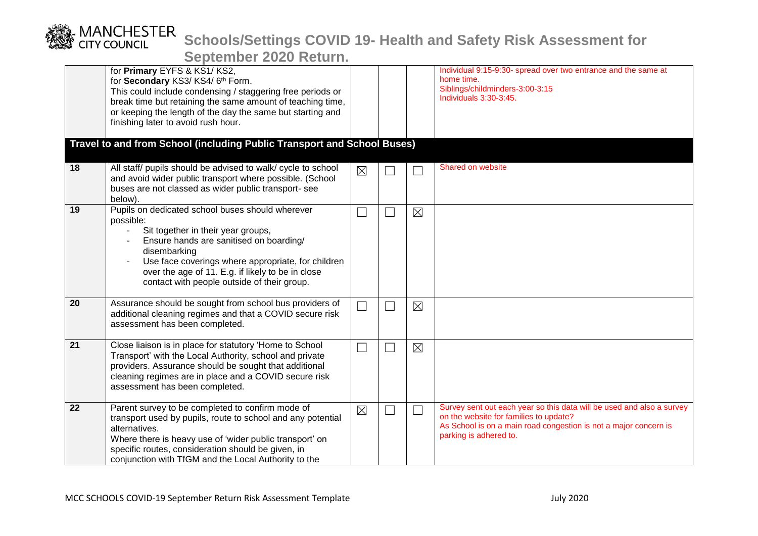|                 | for Primary EYFS & KS1/KS2,<br>for Secondary KS3/KS4/6th Form.<br>This could include condensing / staggering free periods or<br>break time but retaining the same amount of teaching time,<br>or keeping the length of the day the same but starting and<br>finishing later to avoid rush hour.                          |                             |             | Individual 9:15-9:30- spread over two entrance and the same at<br>home time.<br>Siblings/childminders-3:00-3:15<br>Individuals 3:30-3:45.                                                                     |
|-----------------|--------------------------------------------------------------------------------------------------------------------------------------------------------------------------------------------------------------------------------------------------------------------------------------------------------------------------|-----------------------------|-------------|---------------------------------------------------------------------------------------------------------------------------------------------------------------------------------------------------------------|
|                 | Travel to and from School (including Public Transport and School Buses)                                                                                                                                                                                                                                                  |                             |             |                                                                                                                                                                                                               |
| 18              | All staff/ pupils should be advised to walk/ cycle to school<br>and avoid wider public transport where possible. (School<br>buses are not classed as wider public transport- see<br>below).                                                                                                                              | $\boxtimes$                 |             | Shared on website                                                                                                                                                                                             |
| 19              | Pupils on dedicated school buses should wherever<br>possible:<br>Sit together in their year groups,<br>Ensure hands are sanitised on boarding/<br>disembarking<br>Use face coverings where appropriate, for children<br>over the age of 11. E.g. if likely to be in close<br>contact with people outside of their group. |                             | $\boxtimes$ |                                                                                                                                                                                                               |
| $\overline{20}$ | Assurance should be sought from school bus providers of<br>additional cleaning regimes and that a COVID secure risk<br>assessment has been completed.                                                                                                                                                                    | $\mathcal{L}_{\mathcal{A}}$ | $\boxtimes$ |                                                                                                                                                                                                               |
| 21              | Close liaison is in place for statutory 'Home to School<br>Transport' with the Local Authority, school and private<br>providers. Assurance should be sought that additional<br>cleaning regimes are in place and a COVID secure risk<br>assessment has been completed.                                                   |                             | $\boxtimes$ |                                                                                                                                                                                                               |
| 22              | Parent survey to be completed to confirm mode of<br>transport used by pupils, route to school and any potential<br>alternatives.<br>Where there is heavy use of 'wider public transport' on<br>specific routes, consideration should be given, in<br>conjunction with TfGM and the Local Authority to the                | $\boxtimes$                 |             | Survey sent out each year so this data will be used and also a survey<br>on the website for families to update?<br>As School is on a main road congestion is not a major concern is<br>parking is adhered to. |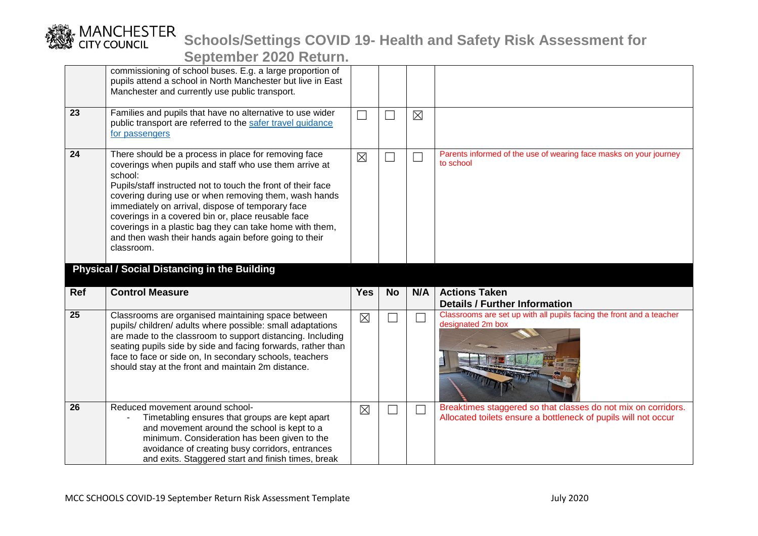|                 | OCPICITINGI EULO INGIALITI                                                                                                                                                                                                                                                                                                                                                                                                                                                         |             |           |             |                                                                                           |
|-----------------|------------------------------------------------------------------------------------------------------------------------------------------------------------------------------------------------------------------------------------------------------------------------------------------------------------------------------------------------------------------------------------------------------------------------------------------------------------------------------------|-------------|-----------|-------------|-------------------------------------------------------------------------------------------|
|                 | commissioning of school buses. E.g. a large proportion of<br>pupils attend a school in North Manchester but live in East<br>Manchester and currently use public transport.                                                                                                                                                                                                                                                                                                         |             |           |             |                                                                                           |
| 23              | Families and pupils that have no alternative to use wider<br>public transport are referred to the safer travel guidance<br>for passengers                                                                                                                                                                                                                                                                                                                                          | ×           |           | $\boxtimes$ |                                                                                           |
| 24              | There should be a process in place for removing face<br>coverings when pupils and staff who use them arrive at<br>school:<br>Pupils/staff instructed not to touch the front of their face<br>covering during use or when removing them, wash hands<br>immediately on arrival, dispose of temporary face<br>coverings in a covered bin or, place reusable face<br>coverings in a plastic bag they can take home with them,<br>and then wash their hands again before going to their | $\boxtimes$ |           |             | Parents informed of the use of wearing face masks on your journey<br>to school            |
|                 | classroom.<br><b>Physical / Social Distancing in the Building</b>                                                                                                                                                                                                                                                                                                                                                                                                                  |             |           |             |                                                                                           |
| Ref             | <b>Control Measure</b>                                                                                                                                                                                                                                                                                                                                                                                                                                                             | <b>Yes</b>  | <b>No</b> | N/A         | <b>Actions Taken</b><br><b>Details / Further Information</b>                              |
| $\overline{25}$ | Classrooms are organised maintaining space between<br>pupils/children/adults where possible: small adaptations<br>are made to the classroom to support distancing. Including<br>seating pupils side by side and facing forwards, rather than<br>face to face or side on, In secondary schools, teachers<br>should stay at the front and maintain 2m distance.                                                                                                                      | $\boxtimes$ |           |             | Classrooms are set up with all pupils facing the front and a teacher<br>designated 2m box |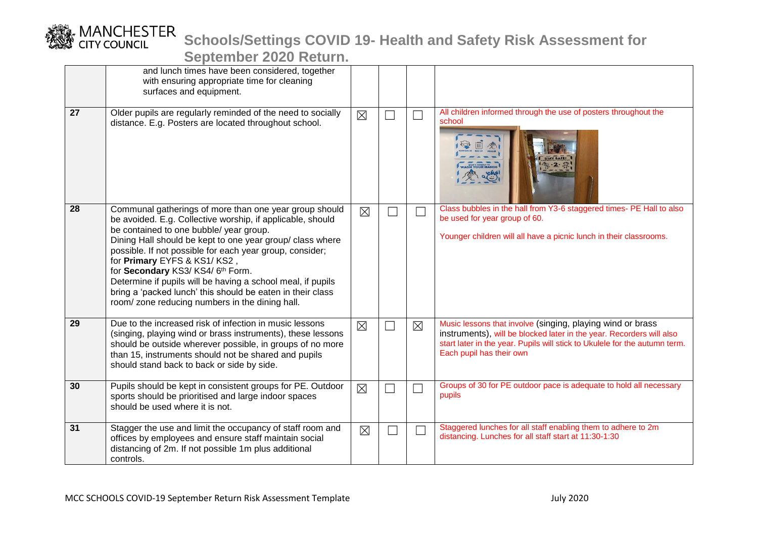

|    | and lunch times have been considered, together<br>with ensuring appropriate time for cleaning<br>surfaces and equipment.                                                                                                                                                                                                                                                                                                                                                                                                                  |             |               |                                                                                                                                                                                                                                              |
|----|-------------------------------------------------------------------------------------------------------------------------------------------------------------------------------------------------------------------------------------------------------------------------------------------------------------------------------------------------------------------------------------------------------------------------------------------------------------------------------------------------------------------------------------------|-------------|---------------|----------------------------------------------------------------------------------------------------------------------------------------------------------------------------------------------------------------------------------------------|
| 27 | Older pupils are regularly reminded of the need to socially<br>distance. E.g. Posters are located throughout school.                                                                                                                                                                                                                                                                                                                                                                                                                      | $\times$    | $\mathcal{L}$ | All children informed through the use of posters throughout the<br>school<br><b>DON'T FORGET TO ASH YOUR HANDS</b><br>$\alpha_{\odot}^{\rm ekg}$                                                                                             |
| 28 | Communal gatherings of more than one year group should<br>be avoided. E.g. Collective worship, if applicable, should<br>be contained to one bubble/ year group.<br>Dining Hall should be kept to one year group/ class where<br>possible. If not possible for each year group, consider;<br>for Primary EYFS & KS1/KS2,<br>for Secondary KS3/KS4/6th Form.<br>Determine if pupils will be having a school meal, if pupils<br>bring a 'packed lunch' this should be eaten in their class<br>room/zone reducing numbers in the dining hall. | $\boxtimes$ |               | Class bubbles in the hall from Y3-6 staggered times- PE Hall to also<br>be used for year group of 60.<br>Younger children will all have a picnic lunch in their classrooms.                                                                  |
| 29 | Due to the increased risk of infection in music lessons<br>(singing, playing wind or brass instruments), these lessons<br>should be outside wherever possible, in groups of no more<br>than 15, instruments should not be shared and pupils<br>should stand back to back or side by side.                                                                                                                                                                                                                                                 | $\boxtimes$ | $\boxtimes$   | Music lessons that involve (singing, playing wind or brass<br>instruments), will be blocked later in the year. Recorders will also<br>start later in the year. Pupils will stick to Ukulele for the autumn term.<br>Each pupil has their own |
| 30 | Pupils should be kept in consistent groups for PE. Outdoor<br>sports should be prioritised and large indoor spaces<br>should be used where it is not.                                                                                                                                                                                                                                                                                                                                                                                     | $\boxtimes$ |               | Groups of 30 for PE outdoor pace is adequate to hold all necessary<br>pupils                                                                                                                                                                 |
| 31 | Stagger the use and limit the occupancy of staff room and<br>offices by employees and ensure staff maintain social<br>distancing of 2m. If not possible 1m plus additional<br>controls.                                                                                                                                                                                                                                                                                                                                                   | $\boxtimes$ |               | Staggered lunches for all staff enabling them to adhere to 2m<br>distancing. Lunches for all staff start at 11:30-1:30                                                                                                                       |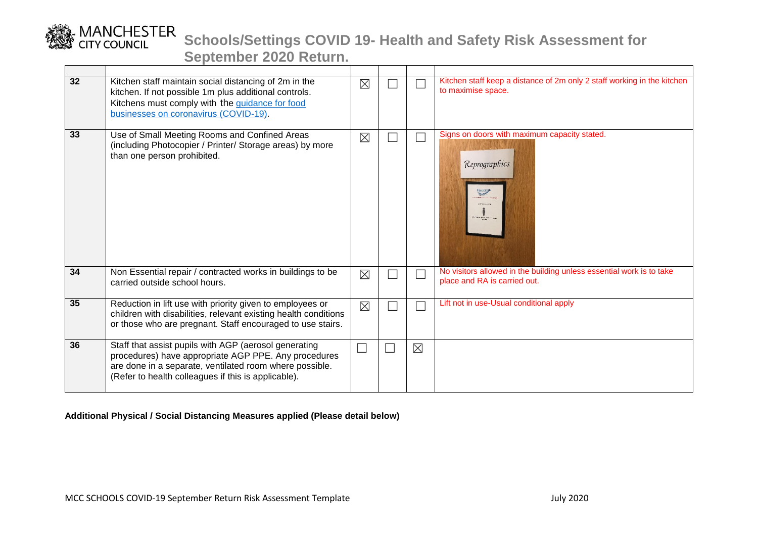

**September 2020 Return.**

| 32 | Kitchen staff maintain social distancing of 2m in the<br>kitchen. If not possible 1m plus additional controls.<br>Kitchens must comply with the guidance for food<br>businesses on coronavirus (COVID-19).                      | $\boxtimes$ |             | Kitchen staff keep a distance of 2m only 2 staff working in the kitchen<br>to maximise space.        |
|----|---------------------------------------------------------------------------------------------------------------------------------------------------------------------------------------------------------------------------------|-------------|-------------|------------------------------------------------------------------------------------------------------|
| 33 | Use of Small Meeting Rooms and Confined Areas<br>(including Photocopier / Printer/ Storage areas) by more<br>than one person prohibited.                                                                                        | $\boxtimes$ |             | Signs on doors with maximum capacity stated.<br>Reprographics                                        |
| 34 | Non Essential repair / contracted works in buildings to be<br>carried outside school hours.                                                                                                                                     | $\boxtimes$ |             | No visitors allowed in the building unless essential work is to take<br>place and RA is carried out. |
| 35 | Reduction in lift use with priority given to employees or<br>children with disabilities, relevant existing health conditions<br>or those who are pregnant. Staff encouraged to use stairs.                                      | $\boxtimes$ |             | Lift not in use-Usual conditional apply                                                              |
| 36 | Staff that assist pupils with AGP (aerosol generating<br>procedures) have appropriate AGP PPE. Any procedures<br>are done in a separate, ventilated room where possible.<br>(Refer to health colleagues if this is applicable). | $\Box$      | $\boxtimes$ |                                                                                                      |

#### **Additional Physical / Social Distancing Measures applied (Please detail below)**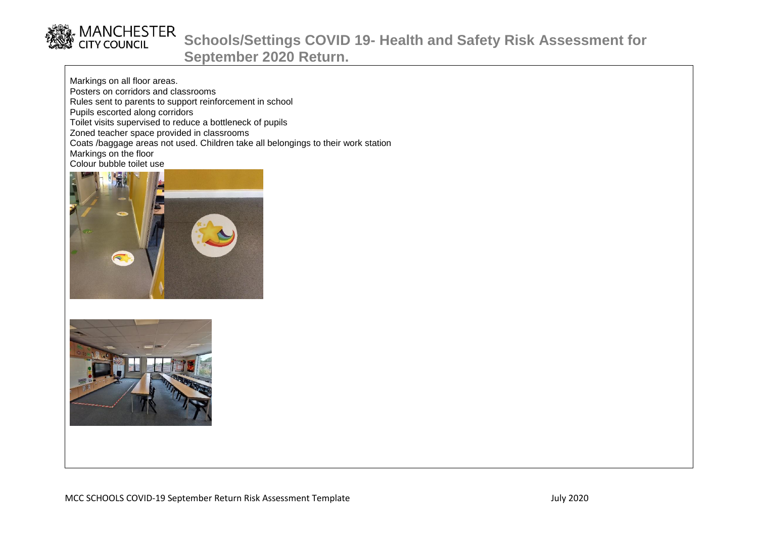

Markings on all floor areas. Posters on corridors and classrooms Rules sent to parents to support reinforcement in school Pupils escorted along corridors Toilet visits supervised to reduce a bottleneck of pupils Zoned teacher space provided in classrooms Coats /baggage areas not used. Children take all belongings to their work station Markings on the floor Colour bubble toilet use



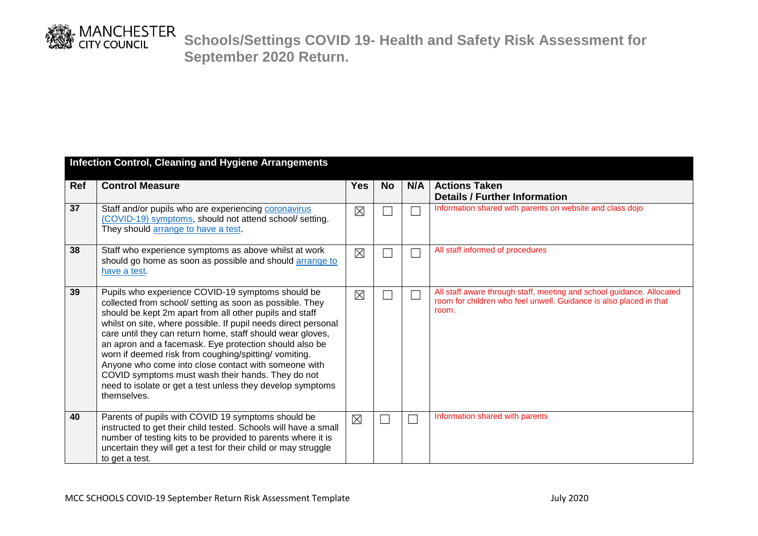

|            | <b>Infection Control, Cleaning and Hygiene Arrangements</b>                                                                                                                                                                                                                                                                                                                                                                                                                                                                                                                                                          |             |           |     |                                                                                                                                                      |  |  |  |  |
|------------|----------------------------------------------------------------------------------------------------------------------------------------------------------------------------------------------------------------------------------------------------------------------------------------------------------------------------------------------------------------------------------------------------------------------------------------------------------------------------------------------------------------------------------------------------------------------------------------------------------------------|-------------|-----------|-----|------------------------------------------------------------------------------------------------------------------------------------------------------|--|--|--|--|
| <b>Ref</b> | <b>Control Measure</b>                                                                                                                                                                                                                                                                                                                                                                                                                                                                                                                                                                                               | <b>Yes</b>  | <b>No</b> | N/A | <b>Actions Taken</b><br><b>Details / Further Information</b>                                                                                         |  |  |  |  |
| 37         | Staff and/or pupils who are experiencing coronavirus<br>(COVID-19) symptoms, should not attend school/ setting.<br>They should arrange to have a test.                                                                                                                                                                                                                                                                                                                                                                                                                                                               | $\boxtimes$ |           |     | Information shared with parents on website and class dojo                                                                                            |  |  |  |  |
| 38         | Staff who experience symptoms as above whilst at work<br>should go home as soon as possible and should arrange to<br>have a test.                                                                                                                                                                                                                                                                                                                                                                                                                                                                                    | $\times$    |           |     | All staff informed of procedures                                                                                                                     |  |  |  |  |
| 39         | Pupils who experience COVID-19 symptoms should be<br>collected from school/ setting as soon as possible. They<br>should be kept 2m apart from all other pupils and staff<br>whilst on site, where possible. If pupil needs direct personal<br>care until they can return home, staff should wear gloves,<br>an apron and a facemask. Eye protection should also be<br>worn if deemed risk from coughing/spitting/vomiting.<br>Anyone who come into close contact with someone with<br>COVID symptoms must wash their hands. They do not<br>need to isolate or get a test unless they develop symptoms<br>themselves. | $\times$    |           |     | All staff aware through staff, meeting and school guidance. Allocated<br>room for children who feel unwell. Guidance is also placed in that<br>room. |  |  |  |  |
| 40         | Parents of pupils with COVID 19 symptoms should be<br>instructed to get their child tested. Schools will have a small<br>number of testing kits to be provided to parents where it is<br>uncertain they will get a test for their child or may struggle<br>to get a test.                                                                                                                                                                                                                                                                                                                                            | $\boxtimes$ |           |     | Information shared with parents                                                                                                                      |  |  |  |  |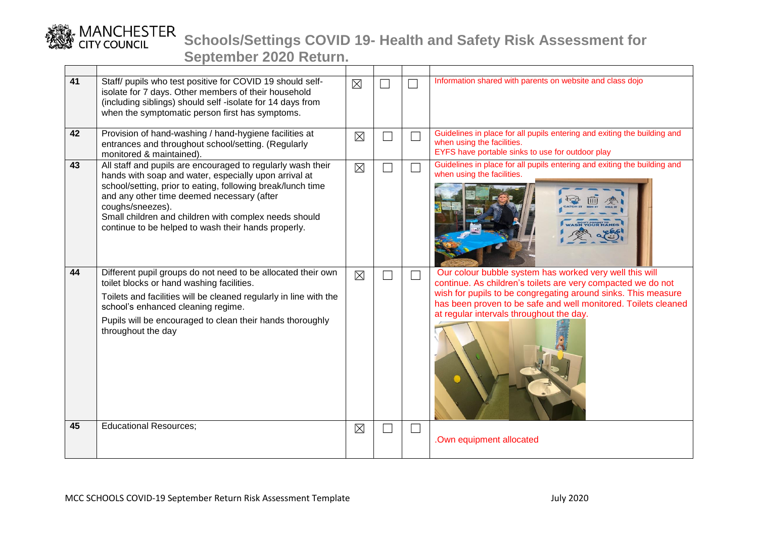

| 41 | Staff/ pupils who test positive for COVID 19 should self-<br>isolate for 7 days. Other members of their household<br>(including siblings) should self -isolate for 14 days from<br>when the symptomatic person first has symptoms.                                                                                                                                    | $\boxtimes$ |  | Information shared with parents on website and class dojo                                                                                                                                                                                                                                              |
|----|-----------------------------------------------------------------------------------------------------------------------------------------------------------------------------------------------------------------------------------------------------------------------------------------------------------------------------------------------------------------------|-------------|--|--------------------------------------------------------------------------------------------------------------------------------------------------------------------------------------------------------------------------------------------------------------------------------------------------------|
| 42 | Provision of hand-washing / hand-hygiene facilities at<br>entrances and throughout school/setting. (Regularly<br>monitored & maintained).                                                                                                                                                                                                                             | $\boxtimes$ |  | Guidelines in place for all pupils entering and exiting the building and<br>when using the facilities.<br>EYFS have portable sinks to use for outdoor play                                                                                                                                             |
| 43 | All staff and pupils are encouraged to regularly wash their<br>hands with soap and water, especially upon arrival at<br>school/setting, prior to eating, following break/lunch time<br>and any other time deemed necessary (after<br>coughs/sneezes).<br>Small children and children with complex needs should<br>continue to be helped to wash their hands properly. | $\boxtimes$ |  | Guidelines in place for all pupils entering and exiting the building and<br>when using the facilities.                                                                                                                                                                                                 |
| 44 | Different pupil groups do not need to be allocated their own<br>toilet blocks or hand washing facilities.<br>Toilets and facilities will be cleaned regularly in line with the<br>school's enhanced cleaning regime.<br>Pupils will be encouraged to clean their hands thoroughly<br>throughout the day                                                               | $\times$    |  | Our colour bubble system has worked very well this will<br>continue. As children's toilets are very compacted we do not<br>wish for pupils to be congregating around sinks. This measure<br>has been proven to be safe and well monitored. Toilets cleaned<br>at regular intervals throughout the day. |
| 45 | <b>Educational Resources;</b>                                                                                                                                                                                                                                                                                                                                         | $\boxtimes$ |  | .Own equipment allocated                                                                                                                                                                                                                                                                               |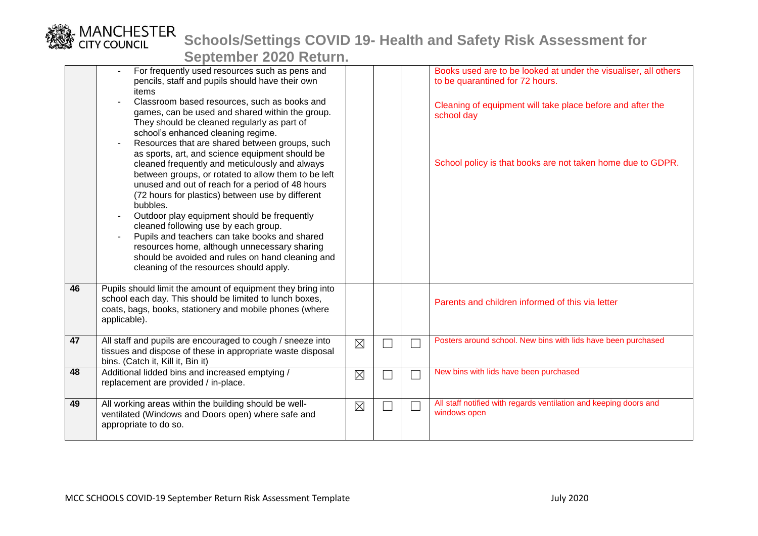|    | $\sim$                                                                                                                                                                                                                                                                                                                                                                                                                                                                                                                                                                                                                |             |   |                                                                                                    |
|----|-----------------------------------------------------------------------------------------------------------------------------------------------------------------------------------------------------------------------------------------------------------------------------------------------------------------------------------------------------------------------------------------------------------------------------------------------------------------------------------------------------------------------------------------------------------------------------------------------------------------------|-------------|---|----------------------------------------------------------------------------------------------------|
|    | For frequently used resources such as pens and<br>pencils, staff and pupils should have their own<br>items<br>Classroom based resources, such as books and                                                                                                                                                                                                                                                                                                                                                                                                                                                            |             |   | Books used are to be looked at under the visualiser, all others<br>to be quarantined for 72 hours. |
|    | games, can be used and shared within the group.<br>They should be cleaned regularly as part of<br>school's enhanced cleaning regime.                                                                                                                                                                                                                                                                                                                                                                                                                                                                                  |             |   | Cleaning of equipment will take place before and after the<br>school day                           |
|    | Resources that are shared between groups, such<br>as sports, art, and science equipment should be<br>cleaned frequently and meticulously and always<br>between groups, or rotated to allow them to be left<br>unused and out of reach for a period of 48 hours<br>(72 hours for plastics) between use by different<br>bubbles.<br>Outdoor play equipment should be frequently<br>cleaned following use by each group.<br>Pupils and teachers can take books and shared<br>resources home, although unnecessary sharing<br>should be avoided and rules on hand cleaning and<br>cleaning of the resources should apply. |             |   | School policy is that books are not taken home due to GDPR.                                        |
| 46 | Pupils should limit the amount of equipment they bring into<br>school each day. This should be limited to lunch boxes,<br>coats, bags, books, stationery and mobile phones (where<br>applicable).                                                                                                                                                                                                                                                                                                                                                                                                                     |             |   | Parents and children informed of this via letter                                                   |
| 47 | All staff and pupils are encouraged to cough / sneeze into<br>tissues and dispose of these in appropriate waste disposal<br>bins. (Catch it, Kill it, Bin it)                                                                                                                                                                                                                                                                                                                                                                                                                                                         | $\boxtimes$ |   | Posters around school. New bins with lids have been purchased                                      |
| 48 | Additional lidded bins and increased emptying /<br>replacement are provided / in-place.                                                                                                                                                                                                                                                                                                                                                                                                                                                                                                                               | $\boxtimes$ |   | New bins with lids have been purchased                                                             |
| 49 | All working areas within the building should be well-<br>ventilated (Windows and Doors open) where safe and<br>appropriate to do so.                                                                                                                                                                                                                                                                                                                                                                                                                                                                                  | $\boxtimes$ | ٦ | All staff notified with regards ventilation and keeping doors and<br>windows open                  |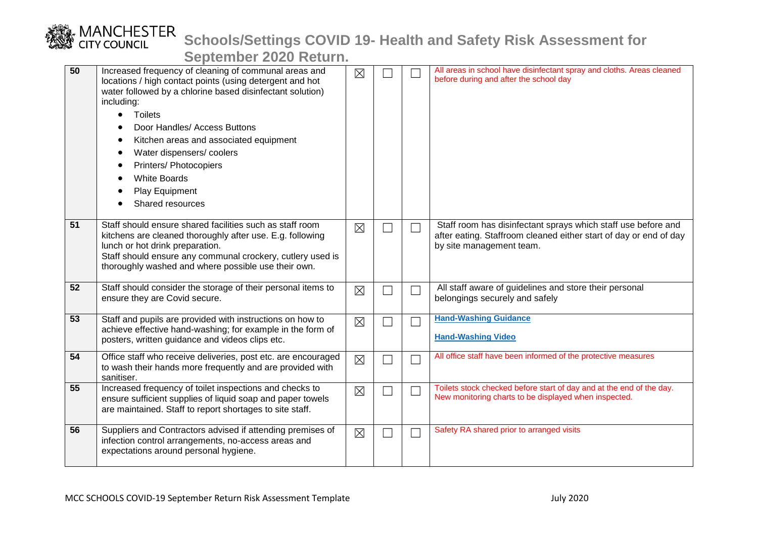## MANCHESTER<br>CITY COUNCIL **Schools/Settings COVID 19- Health and Safety Risk Assessment for**

| 50 | Increased frequency of cleaning of communal areas and<br>locations / high contact points (using detergent and hot<br>water followed by a chlorine based disinfectant solution)<br>including:<br><b>Toilets</b><br>$\bullet$<br>Door Handles/ Access Buttons<br>Kitchen areas and associated equipment<br>Water dispensers/coolers<br>Printers/ Photocopiers<br><b>White Boards</b><br>Play Equipment<br>Shared resources | $\boxtimes$ |                          | All areas in school have disinfectant spray and cloths. Areas cleaned<br>before during and after the school day                                                |
|----|--------------------------------------------------------------------------------------------------------------------------------------------------------------------------------------------------------------------------------------------------------------------------------------------------------------------------------------------------------------------------------------------------------------------------|-------------|--------------------------|----------------------------------------------------------------------------------------------------------------------------------------------------------------|
| 51 | Staff should ensure shared facilities such as staff room<br>kitchens are cleaned thoroughly after use. E.g. following<br>lunch or hot drink preparation.<br>Staff should ensure any communal crockery, cutlery used is<br>thoroughly washed and where possible use their own.                                                                                                                                            | $\boxtimes$ | $\Box$                   | Staff room has disinfectant sprays which staff use before and<br>after eating. Staffroom cleaned either start of day or end of day<br>by site management team. |
| 52 | Staff should consider the storage of their personal items to<br>ensure they are Covid secure.                                                                                                                                                                                                                                                                                                                            | $\boxtimes$ |                          | All staff aware of guidelines and store their personal<br>belongings securely and safely                                                                       |
| 53 | Staff and pupils are provided with instructions on how to<br>achieve effective hand-washing; for example in the form of<br>posters, written guidance and videos clips etc.                                                                                                                                                                                                                                               | $\boxtimes$ |                          | <b>Hand-Washing Guidance</b><br><b>Hand-Washing Video</b>                                                                                                      |
| 54 | Office staff who receive deliveries, post etc. are encouraged<br>to wash their hands more frequently and are provided with<br>sanitiser.                                                                                                                                                                                                                                                                                 | $\boxtimes$ | $\overline{\phantom{a}}$ | All office staff have been informed of the protective measures                                                                                                 |
| 55 | Increased frequency of toilet inspections and checks to<br>ensure sufficient supplies of liquid soap and paper towels<br>are maintained. Staff to report shortages to site staff.                                                                                                                                                                                                                                        | $\boxtimes$ | $\Box$                   | Toilets stock checked before start of day and at the end of the day.<br>New monitoring charts to be displayed when inspected.                                  |
| 56 | Suppliers and Contractors advised if attending premises of<br>infection control arrangements, no-access areas and<br>expectations around personal hygiene.                                                                                                                                                                                                                                                               | $\boxtimes$ | $\Box$                   | Safety RA shared prior to arranged visits                                                                                                                      |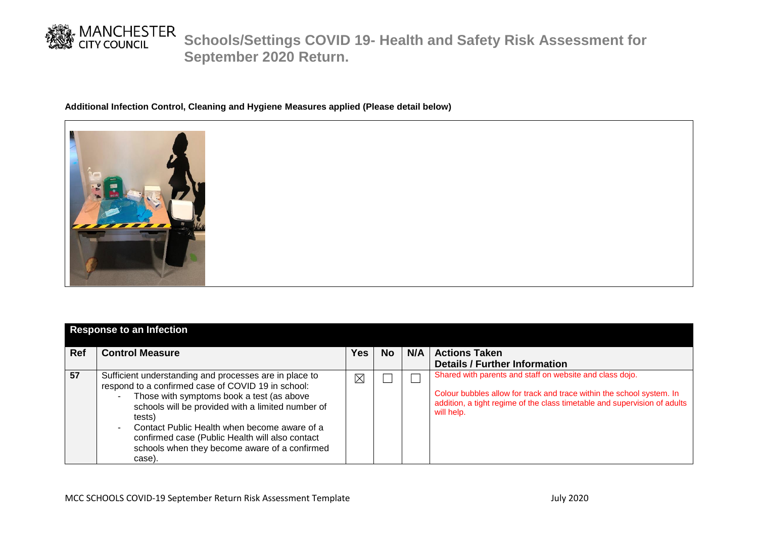

#### **Additional Infection Control, Cleaning and Hygiene Measures applied (Please detail below)**



| <b>Response to an Infection</b> |                                                                                                                                                                                                                                                                                                                                                                                                                                      |          |           |     |                                                                                                                                                                                                                              |  |  |
|---------------------------------|--------------------------------------------------------------------------------------------------------------------------------------------------------------------------------------------------------------------------------------------------------------------------------------------------------------------------------------------------------------------------------------------------------------------------------------|----------|-----------|-----|------------------------------------------------------------------------------------------------------------------------------------------------------------------------------------------------------------------------------|--|--|
| <b>Ref</b>                      | <b>Control Measure</b>                                                                                                                                                                                                                                                                                                                                                                                                               | Yes      | <b>No</b> | N/A | <b>Actions Taken</b>                                                                                                                                                                                                         |  |  |
|                                 |                                                                                                                                                                                                                                                                                                                                                                                                                                      |          |           |     | <b>Details / Further Information</b>                                                                                                                                                                                         |  |  |
| 57                              | Sufficient understanding and processes are in place to<br>respond to a confirmed case of COVID 19 in school:<br>Those with symptoms book a test (as above<br>$\blacksquare$<br>schools will be provided with a limited number of<br>tests)<br>Contact Public Health when become aware of a<br>$\overline{\phantom{a}}$<br>confirmed case (Public Health will also contact<br>schools when they become aware of a confirmed<br>case). | $\times$ |           |     | Shared with parents and staff on website and class dojo.<br>Colour bubbles allow for track and trace within the school system. In<br>addition, a tight regime of the class timetable and supervision of adults<br>will help. |  |  |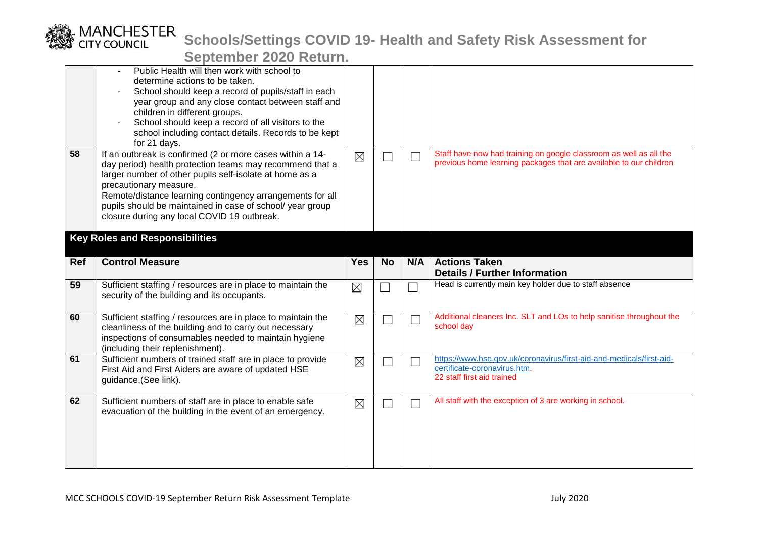|            |                                                                                                                                                                                                                                                                                                                                                                                     | <u> Julius III avat Itului II</u> |           |                             |                                                                                                                                          |
|------------|-------------------------------------------------------------------------------------------------------------------------------------------------------------------------------------------------------------------------------------------------------------------------------------------------------------------------------------------------------------------------------------|-----------------------------------|-----------|-----------------------------|------------------------------------------------------------------------------------------------------------------------------------------|
|            | Public Health will then work with school to<br>determine actions to be taken.<br>School should keep a record of pupils/staff in each<br>year group and any close contact between staff and<br>children in different groups.<br>School should keep a record of all visitors to the<br>school including contact details. Records to be kept<br>for 21 days.                           |                                   |           |                             |                                                                                                                                          |
| 58         | If an outbreak is confirmed (2 or more cases within a 14-<br>day period) health protection teams may recommend that a<br>larger number of other pupils self-isolate at home as a<br>precautionary measure.<br>Remote/distance learning contingency arrangements for all<br>pupils should be maintained in case of school/ year group<br>closure during any local COVID 19 outbreak. | $\boxtimes$                       |           | $\Box$                      | Staff have now had training on google classroom as well as all the<br>previous home learning packages that are available to our children |
|            | <b>Key Roles and Responsibilities</b>                                                                                                                                                                                                                                                                                                                                               |                                   |           |                             |                                                                                                                                          |
| <b>Ref</b> | <b>Control Measure</b>                                                                                                                                                                                                                                                                                                                                                              | <b>Yes</b>                        | <b>No</b> | N/A                         | <b>Actions Taken</b>                                                                                                                     |
|            |                                                                                                                                                                                                                                                                                                                                                                                     |                                   |           |                             | <b>Details / Further Information</b>                                                                                                     |
| 59         | Sufficient staffing / resources are in place to maintain the<br>security of the building and its occupants.                                                                                                                                                                                                                                                                         | $\times$                          |           |                             | Head is currently main key holder due to staff absence                                                                                   |
| 60         | Sufficient staffing / resources are in place to maintain the<br>cleanliness of the building and to carry out necessary<br>inspections of consumables needed to maintain hygiene<br>(including their replenishment).                                                                                                                                                                 | $\boxtimes$                       |           | $\mathcal{L}_{\mathcal{A}}$ | Additional cleaners Inc. SLT and LOs to help sanitise throughout the<br>school day                                                       |
| 61         | Sufficient numbers of trained staff are in place to provide<br>First Aid and First Aiders are aware of updated HSE<br>guidance.(See link).                                                                                                                                                                                                                                          | $\boxtimes$                       |           | $\mathcal{L}_{\mathcal{A}}$ | https://www.hse.gov.uk/coronavirus/first-aid-and-medicals/first-aid-<br>certificate-coronavirus.htm.<br>22 staff first aid trained       |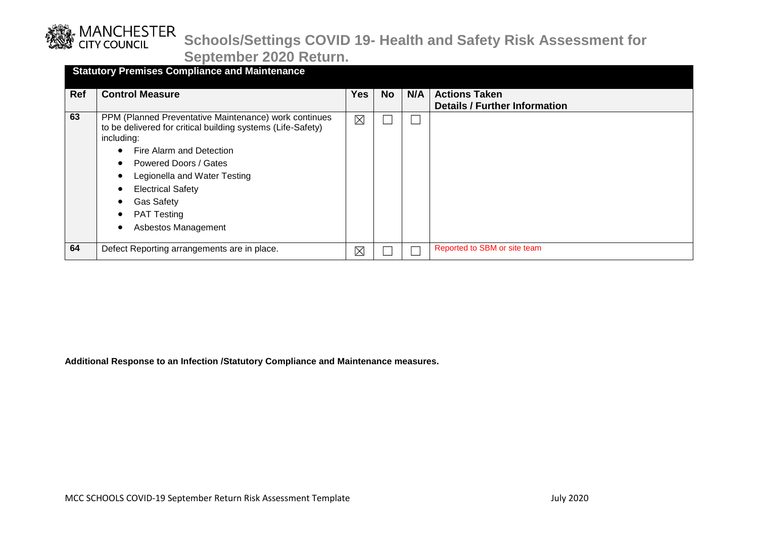

**September 2020 Return.**

|            | <b>Statutory Premises Compliance and Maintenance</b>                                                                                                           |     |           |     |                                                              |  |  |  |  |
|------------|----------------------------------------------------------------------------------------------------------------------------------------------------------------|-----|-----------|-----|--------------------------------------------------------------|--|--|--|--|
| <b>Ref</b> | <b>Control Measure</b>                                                                                                                                         | Yes | <b>No</b> | N/A | <b>Actions Taken</b><br><b>Details / Further Information</b> |  |  |  |  |
| 63         | PPM (Planned Preventative Maintenance) work continues<br>to be delivered for critical building systems (Life-Safety)<br>including:<br>Fire Alarm and Detection | ⊠   |           |     |                                                              |  |  |  |  |
|            | Powered Doors / Gates<br>Legionella and Water Testing<br><b>Electrical Safety</b><br><b>Gas Safety</b><br><b>PAT Testing</b><br>Asbestos Management            |     |           |     |                                                              |  |  |  |  |
| 64         | Defect Reporting arrangements are in place.                                                                                                                    | ⊠   |           |     | Reported to SBM or site team                                 |  |  |  |  |

**Additional Response to an Infection /Statutory Compliance and Maintenance measures.**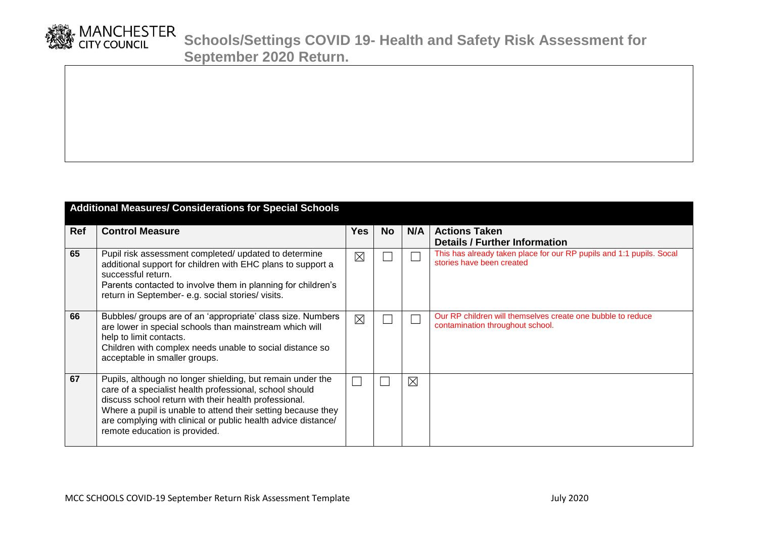

|            | <b>Additional Measures/ Considerations for Special Schools</b>                                                                                                                                                                                                                                                                                   |             |           |     |                                                                                                   |  |  |  |
|------------|--------------------------------------------------------------------------------------------------------------------------------------------------------------------------------------------------------------------------------------------------------------------------------------------------------------------------------------------------|-------------|-----------|-----|---------------------------------------------------------------------------------------------------|--|--|--|
| <b>Ref</b> | <b>Control Measure</b>                                                                                                                                                                                                                                                                                                                           | <b>Yes</b>  | <b>No</b> | N/A | <b>Actions Taken</b><br><b>Details / Further Information</b>                                      |  |  |  |
| 65         | Pupil risk assessment completed/ updated to determine<br>additional support for children with EHC plans to support a<br>successful return.<br>Parents contacted to involve them in planning for children's<br>return in September- e.g. social stories/ visits.                                                                                  | $\boxtimes$ |           |     | This has already taken place for our RP pupils and 1:1 pupils. Socal<br>stories have been created |  |  |  |
| 66         | Bubbles/ groups are of an 'appropriate' class size. Numbers<br>are lower in special schools than mainstream which will<br>help to limit contacts.<br>Children with complex needs unable to social distance so<br>acceptable in smaller groups.                                                                                                   | $\boxtimes$ |           |     | Our RP children will themselves create one bubble to reduce<br>contamination throughout school.   |  |  |  |
| 67         | Pupils, although no longer shielding, but remain under the<br>care of a specialist health professional, school should<br>discuss school return with their health professional.<br>Where a pupil is unable to attend their setting because they<br>are complying with clinical or public health advice distance/<br>remote education is provided. |             |           | ⊠   |                                                                                                   |  |  |  |